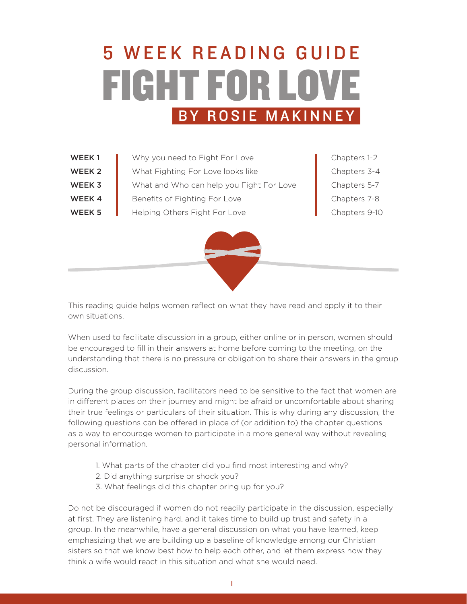# FIGHT FOR LOVE 5 W E E K R E A D I N G G U I D E BY ROSIE MAKINNEY

- WEEK 1 Why you need to Fight For Love Chapters 1-2 WEEK 2 What Fighting For Love looks like Chapters 3-4
- WEEK 3 What and Who can help you Fight For Love Chapters 5-7
- **WEEK 4** Benefits of Fighting For Love **Chapters 7-8** Chapters 7-8
- WEEK 5 Helping Others Fight For Love Chapters 9-10
	-

This reading guide helps women reflect on what they have read and apply it to their own situations.

When used to facilitate discussion in a group, either online or in person, women should be encouraged to fill in their answers at home before coming to the meeting, on the understanding that there is no pressure or obligation to share their answers in the group discussion.

During the group discussion, facilitators need to be sensitive to the fact that women are in different places on their journey and might be afraid or uncomfortable about sharing their true feelings or particulars of their situation. This is why during any discussion, the following questions can be offered in place of (or addition to) the chapter questions as a way to encourage women to participate in a more general way without revealing personal information.

- 1. What parts of the chapter did you find most interesting and why?
- 2. Did anything surprise or shock you?
- 3. What feelings did this chapter bring up for you?

Do not be discouraged if women do not readily participate in the discussion, especially at first. They are listening hard, and it takes time to build up trust and safety in a group. In the meanwhile, have a general discussion on what you have learned, keep emphasizing that we are building up a baseline of knowledge among our Christian sisters so that we know best how to help each other, and let them express how they think a wife would react in this situation and what she would need.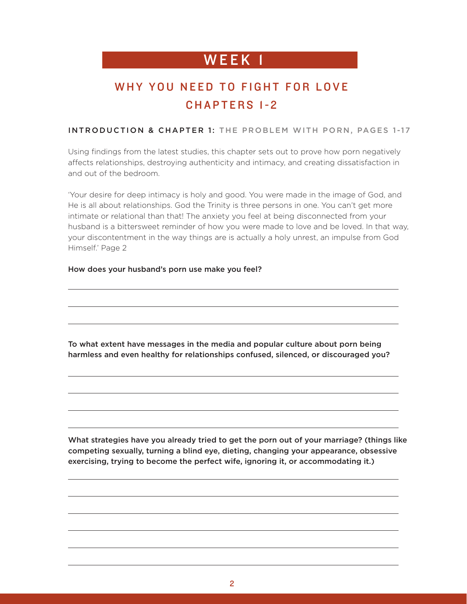# WEEK 1 **WEEK**

### WHY YOU NEED TO FIGHT FOR LOVE CHAPTERS 1-2

#### INTRODUCTION & CHAPTER 1: THE PROBLEM WITH PORN, PAGES 1-17

Using findings from the latest studies, this chapter sets out to prove how porn negatively affects relationships, destroying authenticity and intimacy, and creating dissatisfaction in and out of the bedroom.

'Your desire for deep intimacy is holy and good. You were made in the image of God, and He is all about relationships. God the Trinity is three persons in one. You can't get more intimate or relational than that! The anxiety you feel at being disconnected from your husband is a bittersweet reminder of how you were made to love and be loved. In that way, your discontentment in the way things are is actually a holy unrest, an impulse from God Himself.' Page 2

#### How does your husband's porn use make you feel?

To what extent have messages in the media and popular culture about porn being harmless and even healthy for relationships confused, silenced, or discouraged you?

What strategies have you already tried to get the porn out of your marriage? (things like competing sexually, turning a blind eye, dieting, changing your appearance, obsessive exercising, trying to become the perfect wife, ignoring it, or accommodating it.)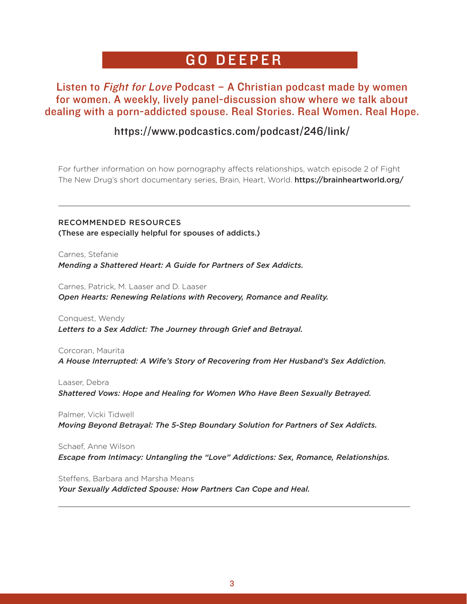# GO DEEPER

### Listen to *Fight for Love* Podcast  $-$  A Christian podcast made by women for women. A weekly, lively panel-discussion show where we talk about dealing with a porn-addicted spouse. Real Stories. Real Women. Real Hope.

### https://www.podcastics.com/podcast/246/link/

For further information on how pornography affects relationships, watch episode 2 of Fight The New Drug's short documentary series, Brain, Heart, World. https://brainheartworld.org/

RECOMMENDED RESOURCES (These are especially helpful for spouses of addicts.)

Carnes, Stefanie *Mending a Shattered Heart: A Guide for Partners of Sex Addicts.* 

Carnes, Patrick, M. Laaser and D. Laaser *Open Hearts: Renewing Relations with Recovery, Romance and Reality.*

Conquest, Wendy *Letters to a Sex Addict: The Journey through Grief and Betrayal.*

Corcoran, Maurita *A House Interrupted: A Wife's Story of Recovering from Her Husband's Sex Addiction.* 

Laaser, Debra *Shattered Vows: Hope and Healing for Women Who Have Been Sexually Betrayed.*

Palmer, Vicki Tidwell *Moving Beyond Betrayal: The 5-Step Boundary Solution for Partners of Sex Addicts.* 

Schaef, Anne Wilson *Escape from Intimacy: Untangling the "Love" Addictions: Sex, Romance, Relationships.*

Steffens, Barbara and Marsha Means *Your Sexually Addicted Spouse: How Partners Can Cope and Heal.*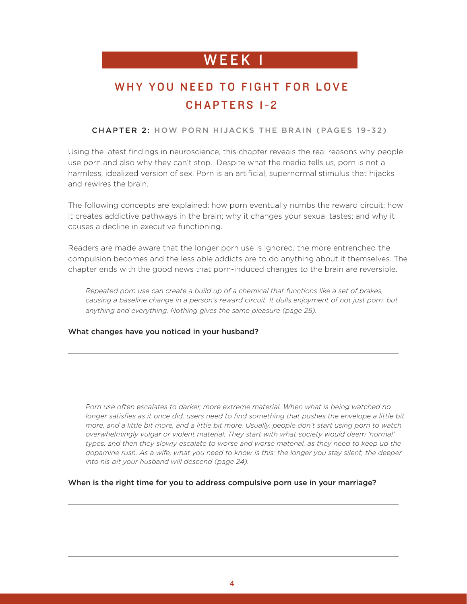# WEEK 1 **WEEK**

### WHY YOU NEED TO FIGHT FOR LOVE CHAPTERS 1-2

#### CHAPTER 2: HOW PORN HIJACKS THE BRAIN (PAGES 19-32)

Using the latest findings in neuroscience, this chapter reveals the real reasons why people use porn and also why they can't stop. Despite what the media tells us, porn is not a harmless, idealized version of sex. Porn is an artificial, supernormal stimulus that hijacks and rewires the brain.

The following concepts are explained: how porn eventually numbs the reward circuit; how it creates addictive pathways in the brain; why it changes your sexual tastes; and why it causes a decline in executive functioning.

Readers are made aware that the longer porn use is ignored, the more entrenched the compulsion becomes and the less able addicts are to do anything about it themselves. The chapter ends with the good news that porn-induced changes to the brain are reversible.

*Repeated porn use can create a build up of a chemical that functions like a set of brakes, causing a baseline change in a person's reward circuit. It dulls enjoyment of not just porn, but anything and everything. Nothing gives the same pleasure (page 25).*

#### What changes have you noticed in your husband?

*Porn use often escalates to darker, more extreme material. When what is being watched no*  longer satisfies as it once did, users need to find something that pushes the envelope a little bit *more, and a little bit more, and a little bit more. Usually, people don't start using porn to watch overwhelmingly vulgar or violent material. They start with what society would deem 'normal'*  types, and then they slowly escalate to worse and worse material, as they need to keep up the *dopamine rush. As a wife, what you need to know is this: the longer you stay silent, the deeper into his pit your husband will descend (page 24).*

#### When is the right time for you to address compulsive porn use in your marriage?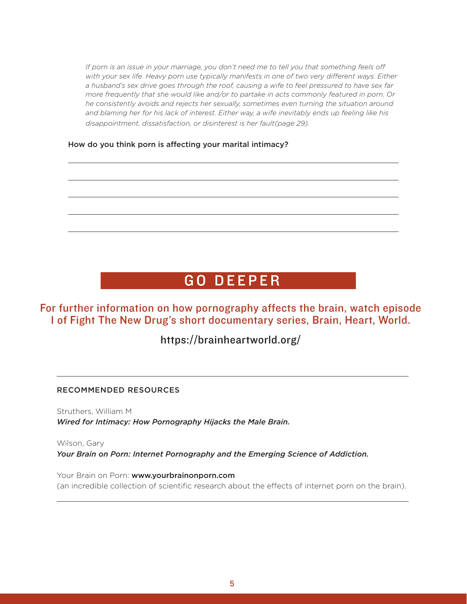*If porn is an issue in your marriage, you don't need me to tell you that something feels off*  with your sex life. Heavy porn use typically manifests in one of two very different ways. Either *a husband's sex drive goes through the roof, causing a wife to feel pressured to have sex far more frequently that she would like and/or to partake in acts commonly featured in porn. Or he consistently avoids and rejects her sexually, sometimes even turning the situation around and blaming her for his lack of interest. Either way, a wife inevitably ends up feeling like his disappointment, dissatisfaction, or disinterest is her fault(page 29).*

How do you think porn is affecting your marital intimacy?

# GO DEEPER

For further information on how pornography affects the brain, watch episode 1 of Fight The New Drug's short documentary series, Brain, Heart, World.

https://brainheartworld.org/

#### RECOMMENDED RESOURCES

Struthers, William M *Wired for Intimacy: How Pornography Hijacks the Male Brain.* 

Wilson, Gary *Your Brain on Porn: Internet Pornography and the Emerging Science of Addiction.* 

Your Brain on Porn: www.yourbrainonporn.com (an incredible collection of scientific research about the effects of internet porn on the brain).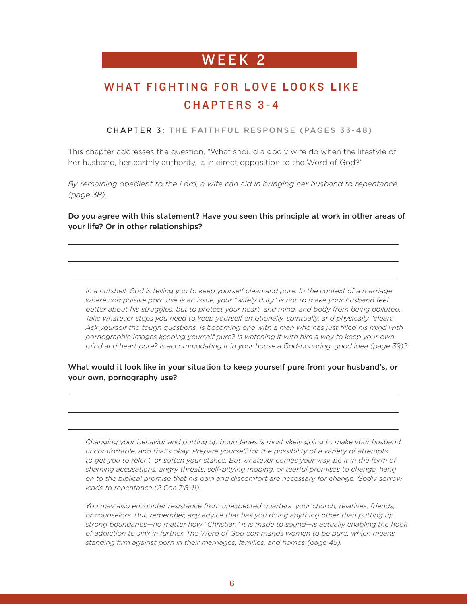### WHAT FIGHTING FOR LOVE LOOKS LIKE CHAPTERS 3-4

CHAPTER 3: THE FAITHFUL RESPONSE (PAGES 33-48)

This chapter addresses the question, "What should a godly wife do when the lifestyle of her husband, her earthly authority, is in direct opposition to the Word of God?"

*By remaining obedient to the Lord, a wife can aid in bringing her husband to repentance (page 38).*

Do you agree with this statement? Have you seen this principle at work in other areas of your life? Or in other relationships?

*In a nutshell, God is telling you to keep yourself clean and pure. In the context of a marriage where compulsive porn use is an issue, your "wifely duty" is not to make your husband feel better about his struggles, but to protect your heart, and mind, and body from being polluted. Take whatever steps you need to keep yourself emotionally, spiritually, and physically "clean." Ask yourself the tough questions. Is becoming one with a man who has just filled his mind with pornographic images keeping yourself pure? Is watching it with him a way to keep your own mind and heart pure? Is accommodating it in your house a God-honoring, good idea (page 39)?*

#### What would it look like in your situation to keep yourself pure from your husband's, or your own, pornography use?

*Changing your behavior and putting up boundaries is most likely going to make your husband uncomfortable, and that's okay. Prepare yourself for the possibility of a variety of attempts*  to get you to relent, or soften your stance. But whatever comes your way, be it in the form of *shaming accusations, angry threats, self-pitying moping, or tearful promises to change, hang on to the biblical promise that his pain and discomfort are necessary for change. Godly sorrow leads to repentance (2 Cor. 7:8–11).*

*You may also encounter resistance from unexpected quarters: your church, relatives, friends, or counselors. But, remember, any advice that has you doing anything other than putting up strong boundaries—no matter how "Christian" it is made to sound—is actually enabling the hook of addiction to sink in further. The Word of God commands women to be pure, which means standing firm against porn in their marriages, families, and homes (page 45).*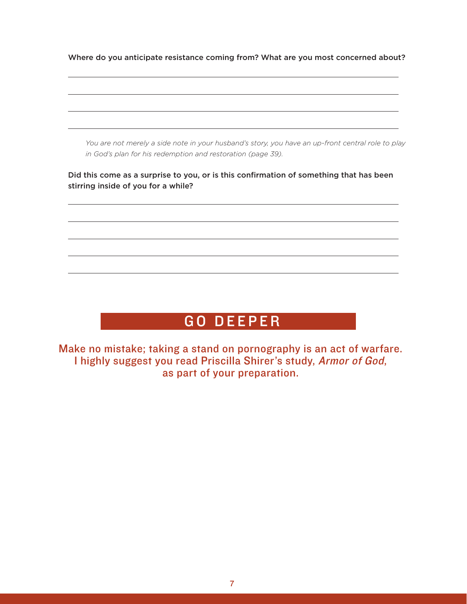Where do you anticipate resistance coming from? What are you most concerned about?

*You are not merely a side note in your husband's story, you have an up-front central role to play in God's plan for his redemption and restoration (page 39).* 

Did this come as a surprise to you, or is this confirmation of something that has been stirring inside of you for a while?

# GO DEEPER

Make no mistake; taking a stand on pornography is an act of warfare. I highly suggest you read Priscilla Shirer's study, Armor of God, as part of your preparation.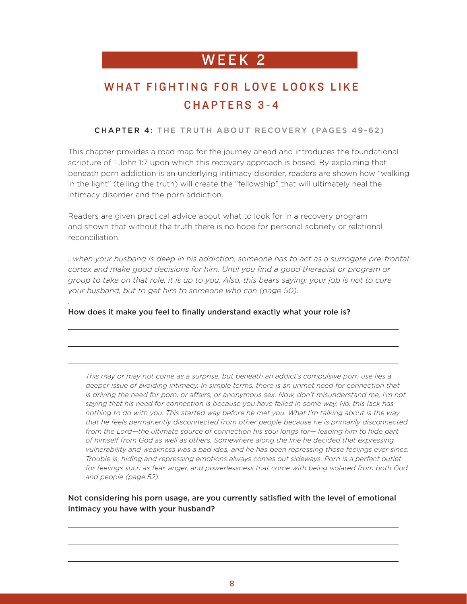### WHAT FIGHTING FOR LOVE LOOKS LIKE CHAPTERS 3-4

#### CHAPTER 4: THE TRUTH ABOUT RECOVERY (PAGES 49-62)

This chapter provides a road map for the journey ahead and introduces the foundational scripture of 1 John 1:7 upon which this recovery approach is based. By explaining that beneath porn addiction is an underlying intimacy disorder, readers are shown how "walking in the light" (telling the truth) will create the "fellowship" that will ultimately heal the intimacy disorder and the porn addiction.

Readers are given practical advice about what to look for in a recovery program and shown that without the truth there is no hope for personal sobriety or relational reconciliation.

*…when your husband is deep in his addiction, someone has to act as a surrogate pre-frontal cortex and make good decisions for him. Until you find a good therapist or program or group to take on that role, it is up to you. Also, this bears saying: your job is not to cure your husband, but to get him to someone who can (page 50).*

#### How does it make you feel to finally understand exactly what your role is?

*.*

*This may or may not come as a surprise, but beneath an addict's compulsive porn use lies a deeper issue of avoiding intimacy. In simple terms, there is an unmet need for connection that is driving the need for porn, or affairs, or anonymous sex. Now, don't misunderstand me, I'm not saying that his need for connection is because you have failed in some way. No, this lack has nothing to do with you. This started way before he met you. What I'm talking about is the way that he feels permanently disconnected from other people because he is primarily disconnected from the Lord—the ultimate source of connection his soul longs for— leading him to hide part of himself from God as well as others. Somewhere along the line he decided that expressing vulnerability and weakness was a bad idea, and he has been repressing those feelings ever since. Trouble is, hiding and repressing emotions always comes out sideways. Porn is a perfect outlet for feelings such as fear, anger, and powerlessness that come with being isolated from both God and people (page 52).*

#### Not considering his porn usage, are you currently satisfied with the level of emotional intimacy you have with your husband?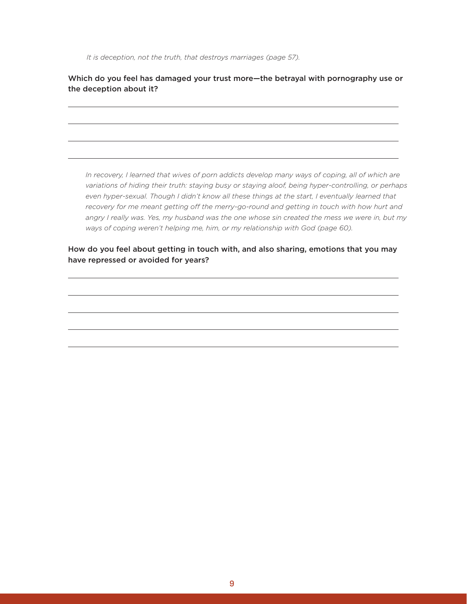*It is deception, not the truth, that destroys marriages (page 57).* 

Which do you feel has damaged your trust more—the betrayal with pornography use or the deception about it?

*In recovery, I learned that wives of porn addicts develop many ways of coping, all of which are variations of hiding their truth: staying busy or staying aloof, being hyper-controlling, or perhaps even hyper-sexual. Though I didn't know all these things at the start, I eventually learned that*  recovery for me meant getting off the merry-go-round and getting in touch with how hurt and *angry I really was. Yes, my husband was the one whose sin created the mess we were in, but my ways of coping weren't helping me, him, or my relationship with God (page 60).*

How do you feel about getting in touch with, and also sharing, emotions that you may have repressed or avoided for years?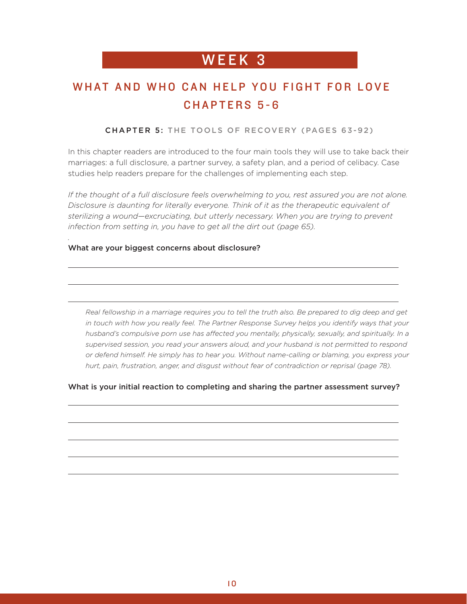### WHAT AND WHO CAN HELP YOU FIGHT FOR LOVE CHAPTERS 5-6

#### CHAPTER 5: THE TOOLS OF RECOVERY (PAGES 63-92)

In this chapter readers are introduced to the four main tools they will use to take back their marriages: a full disclosure, a partner survey, a safety plan, and a period of celibacy. Case studies help readers prepare for the challenges of implementing each step.

*If the thought of a full disclosure feels overwhelming to you, rest assured you are not alone. Disclosure is daunting for literally everyone. Think of it as the therapeutic equivalent of sterilizing a wound—excruciating, but utterly necessary. When you are trying to prevent infection from setting in, you have to get all the dirt out (page 65).*

#### What are your biggest concerns about disclosure?

*.*

*Real fellowship in a marriage requires you to tell the truth also. Be prepared to dig deep and get*  in touch with how you really feel. The Partner Response Survey helps you identify ways that your *husband's compulsive porn use has affected you mentally, physically, sexually, and spiritually. In a supervised session, you read your answers aloud, and your husband is not permitted to respond or defend himself. He simply has to hear you. Without name-calling or blaming, you express your hurt, pain, frustration, anger, and disgust without fear of contradiction or reprisal (page 78).*

#### What is your initial reaction to completing and sharing the partner assessment survey?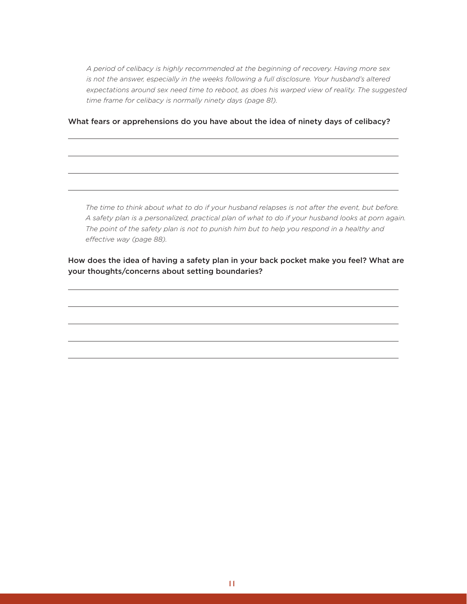*A period of celibacy is highly recommended at the beginning of recovery. Having more sex is not the answer, especially in the weeks following a full disclosure. Your husband's altered expectations around sex need time to reboot, as does his warped view of reality. The suggested time frame for celibacy is normally ninety days (page 81).* 

#### What fears or apprehensions do you have about the idea of ninety days of celibacy?

*The time to think about what to do if your husband relapses is not after the event, but before. A safety plan is a personalized, practical plan of what to do if your husband looks at porn again. The point of the safety plan is not to punish him but to help you respond in a healthy and effective way (page 88).*

How does the idea of having a safety plan in your back pocket make you feel? What are your thoughts/concerns about setting boundaries?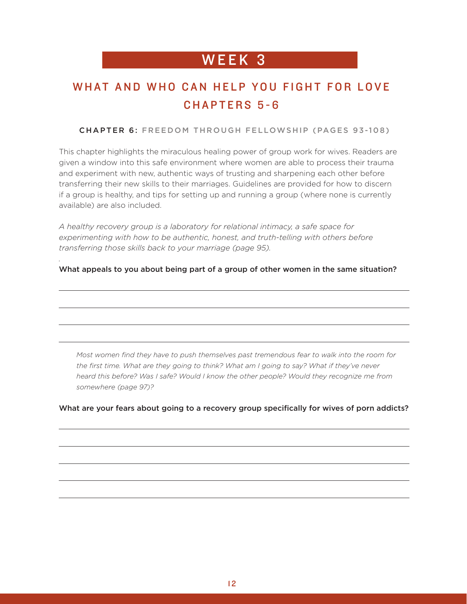### WHAT AND WHO CAN HELP YOU FIGHT FOR LOVE CHAPTERS 5-6

#### CHAPTER 6: FREEDOM THROUGH FELLOWSHIP (PAGES 93-108)

This chapter highlights the miraculous healing power of group work for wives. Readers are given a window into this safe environment where women are able to process their trauma and experiment with new, authentic ways of trusting and sharpening each other before transferring their new skills to their marriages. Guidelines are provided for how to discern if a group is healthy, and tips for setting up and running a group (where none is currently available) are also included.

*A healthy recovery group is a laboratory for relational intimacy, a safe space for experimenting with how to be authentic, honest, and truth-telling with others before transferring those skills back to your marriage (page 95).*

*.*

What appeals to you about being part of a group of other women in the same situation?

*Most women find they have to push themselves past tremendous fear to walk into the room for the first time. What are they going to think? What am I going to say? What if they've never heard this before? Was I safe? Would I know the other people? Would they recognize me from somewhere (page 97)?*

What are your fears about going to a recovery group specifically for wives of porn addicts?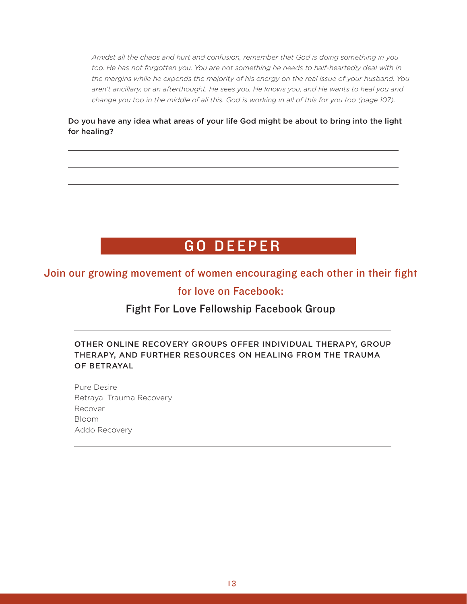*Amidst all the chaos and hurt and confusion, remember that God is doing something in you*  too. He has not forgotten you. You are not something he needs to half-heartedly deal with in *the margins while he expends the majority of his energy on the real issue of your husband. You aren't ancillary, or an afterthought. He sees you, He knows you, and He wants to heal you and*  change you too in the middle of all this. God is working in all of this for you too (page 107).

Do you have any idea what areas of your life God might be about to bring into the light for healing?

# GO DEEPER

### Join our growing movement of women encouraging each other in their fight for love on Facebook:

### Fight For Love Fellowship Facebook Group

OTHER ONLINE RECOVERY GROUPS OFFER INDIVIDUAL THERAPY, GROUP THERAPY, AND FURTHER RESOURCES ON HEALING FROM THE TRAUMA OF BETRAYAL

Pure Desire Betrayal Trauma Recovery Recover Bloom Addo Recovery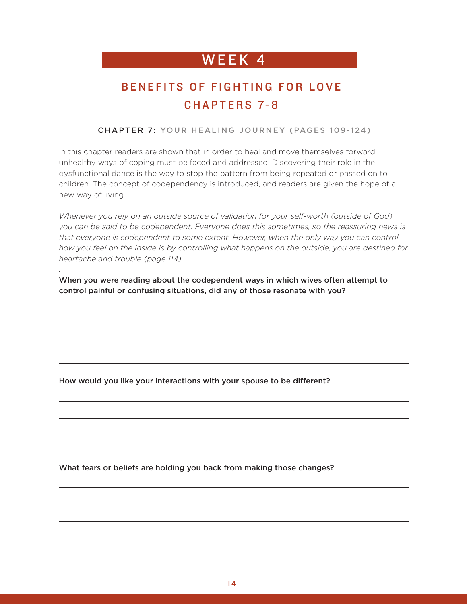### BENEFITS OF FIGHTING FOR LOVE CHAPTERS 7-8

#### CHAPTER 7: YOUR HEALING JOURNEY (PAGES 109-124)

In this chapter readers are shown that in order to heal and move themselves forward, unhealthy ways of coping must be faced and addressed. Discovering their role in the dysfunctional dance is the way to stop the pattern from being repeated or passed on to children. The concept of codependency is introduced, and readers are given the hope of a new way of living.

Whenever you rely on an outside source of validation for your self-worth (outside of God), *you can be said to be codependent. Everyone does this sometimes, so the reassuring news is that everyone is codependent to some extent. However, when the only way you can control how you feel on the inside is by controlling what happens on the outside, you are destined for heartache and trouble (page 114).*

When you were reading about the codependent ways in which wives often attempt to control painful or confusing situations, did any of those resonate with you?

How would you like your interactions with your spouse to be different?

*.*

What fears or beliefs are holding you back from making those changes?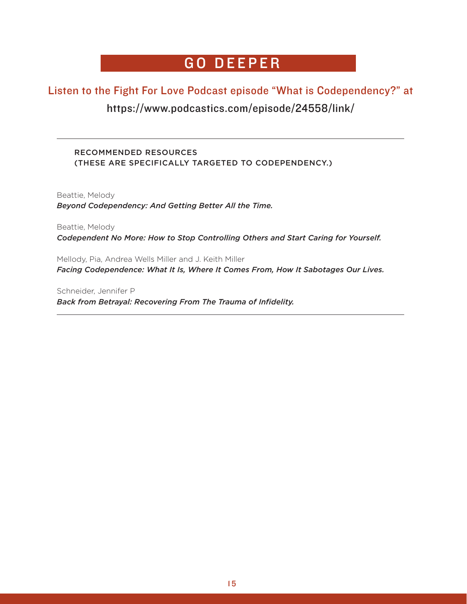### GO DEEPER

### Listen to the Fight For Love Podcast episode "What is Codependency?" at https://www.podcastics.com/episode/24558/link/

### RECOMMENDED RESOURCES (THESE ARE SPECIFICALLY TARGETED TO CODEPENDENCY.)

Beattie, Melody *Beyond Codependency: And Getting Better All the Time.* 

Beattie, Melody *Codependent No More: How to Stop Controlling Others and Start Caring for Yourself.* 

Mellody, Pia, Andrea Wells Miller and J. Keith Miller *Facing Codependence: What It Is, Where It Comes From, How It Sabotages Our Lives.* 

Schneider, Jennifer P *Back from Betrayal: Recovering From The Trauma of Infidelity.*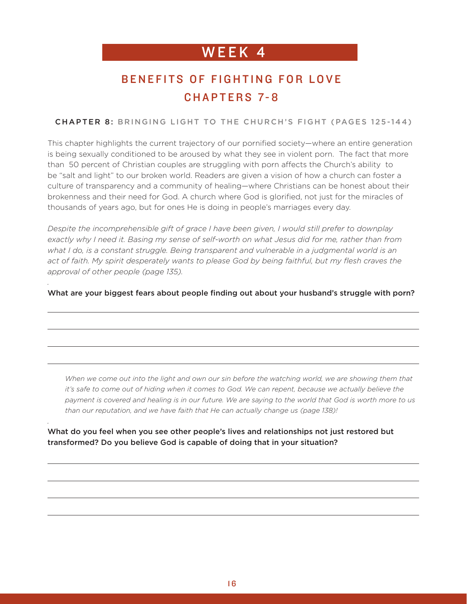### BENEFITS OF FIGHTING FOR LOVE CHAPTERS 7-8

#### CHAPTER 8: BRINGING LIGHT TO THE CHURCH'S FIGHT (PAGES 125-144)

This chapter highlights the current trajectory of our pornified society—where an entire generation is being sexually conditioned to be aroused by what they see in violent porn. The fact that more than 50 percent of Christian couples are struggling with porn affects the Church's ability to be "salt and light" to our broken world. Readers are given a vision of how a church can foster a culture of transparency and a community of healing—where Christians can be honest about their brokenness and their need for God. A church where God is glorified, not just for the miracles of thousands of years ago, but for ones He is doing in people's marriages every day.

*Despite the incomprehensible gift of grace I have been given, I would still prefer to downplay exactly why I need it. Basing my sense of self-worth on what Jesus did for me, rather than from what I do, is a constant struggle. Being transparent and vulnerable in a judgmental world is an*  act of faith. My spirit desperately wants to please God by being faithful, but my flesh craves the *approval of other people (page 135).*

*.*

*.*

What are your biggest fears about people finding out about your husband's struggle with porn?

*When we come out into the light and own our sin before the watching world, we are showing them that*  it's safe to come out of hiding when it comes to God. We can repent, because we actually believe the *payment is covered and healing is in our future. We are saying to the world that God is worth more to us than our reputation, and we have faith that He can actually change us (page 138)!*

What do you feel when you see other people's lives and relationships not just restored but transformed? Do you believe God is capable of doing that in your situation?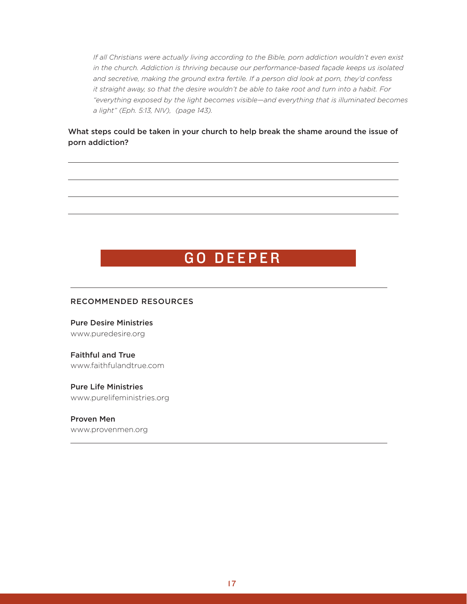*If all Christians were actually living according to the Bible, porn addiction wouldn't even exist in the church. Addiction is thriving because our performance-based façade keeps us isolated and secretive, making the ground extra fertile. If a person did look at porn, they'd confess it straight away, so that the desire wouldn't be able to take root and turn into a habit. For "everything exposed by the light becomes visible—and everything that is illuminated becomes a light" (Eph. 5:13, NIV), (page 143).*

#### What steps could be taken in your church to help break the shame around the issue of porn addiction?

### GO DEEPER

#### RECOMMENDED RESOURCES

Pure Desire Ministries www.puredesire.org

Faithful and True www.faithfulandtrue.com

Pure Life Ministries www.purelifeministries.org

Proven Men www.provenmen.org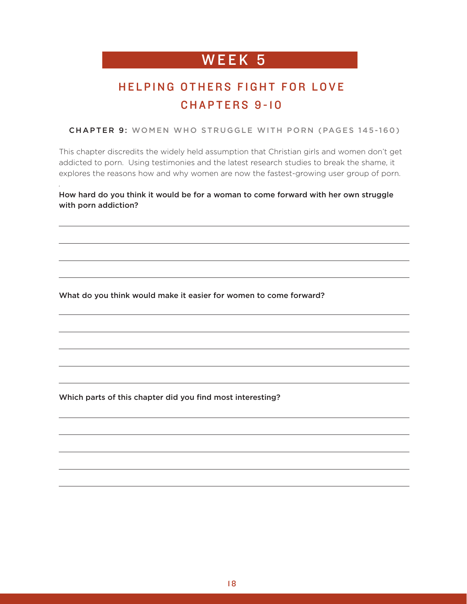### HELPING OTHERS FIGHT FOR LOVE CHAPTERS 9-10

CHAPTER 9: WOMEN WHO STRUGGLE WITH PORN (PAGES 145-160)

This chapter discredits the widely held assumption that Christian girls and women don't get addicted to porn. Using testimonies and the latest research studies to break the shame, it explores the reasons how and why women are now the fastest-growing user group of porn.

How hard do you think it would be for a woman to come forward with her own struggle with porn addiction?

What do you think would make it easier for women to come forward?

Which parts of this chapter did you find most interesting?

*.*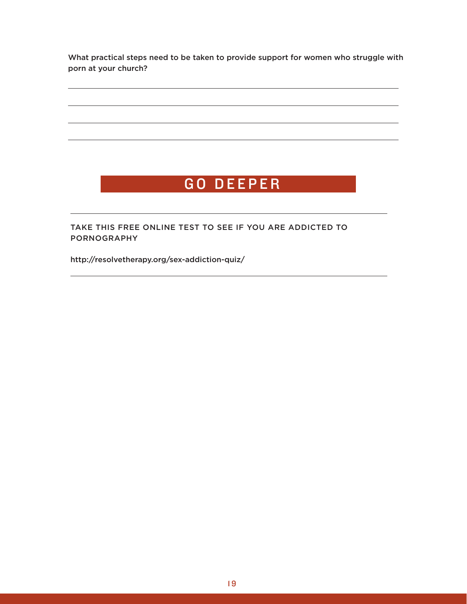What practical steps need to be taken to provide support for women who struggle with porn at your church?

# GO DEEPER

TAKE THIS FREE ONLINE TEST TO SEE IF YOU ARE ADDICTED TO PORNOGRAPHY

http://resolvetherapy.org/sex-addiction-quiz/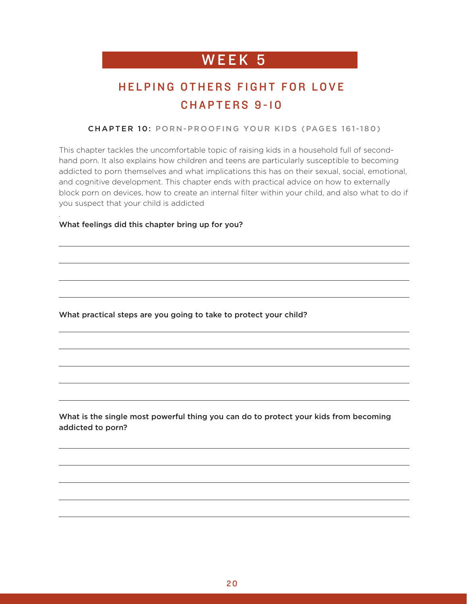### HELPING OTHERS FIGHT FOR LOVE CHAPTERS 9-10

#### CHAPTER 10: PORN-PROOFING YOUR KIDS (PAGES 161-180)

This chapter tackles the uncomfortable topic of raising kids in a household full of secondhand porn. It also explains how children and teens are particularly susceptible to becoming addicted to porn themselves and what implications this has on their sexual, social, emotional, and cognitive development. This chapter ends with practical advice on how to externally block porn on devices, how to create an internal filter within your child, and also what to do if you suspect that your child is addicted

#### What feelings did this chapter bring up for you?

*.*

What practical steps are you going to take to protect your child?

What is the single most powerful thing you can do to protect your kids from becoming addicted to porn?